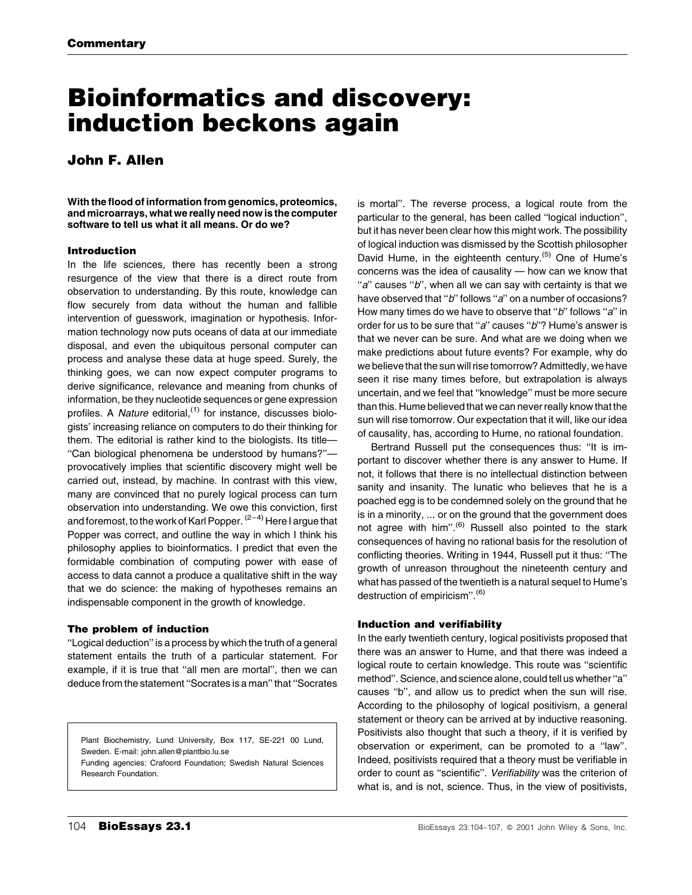# Bioinformatics and discovery: induction beckons again

## John F. Allen

With the flood of information from genomics, proteomics, and microarrays, what we really need now is the computer software to tell us what it all means. Or do we?

## Introduction

In the life sciences, there has recently been a strong resurgence of the view that there is a direct route from observation to understanding. By this route, knowledge can flow securely from data without the human and fallible intervention of guesswork, imagination or hypothesis. Information technology now puts oceans of data at our immediate disposal, and even the ubiquitous personal computer can process and analyse these data at huge speed. Surely, the thinking goes, we can now expect computer programs to derive significance, relevance and meaning from chunks of information, be they nucleotide sequences or gene expression profiles. A Nature editorial,<sup> $(1)$ </sup> for instance, discusses biologists' increasing reliance on computers to do their thinking for them. The editorial is rather kind to the biologists. Its title-"Can biological phenomena be understood by humans?"provocatively implies that scientific discovery might well be carried out, instead, by machine. In contrast with this view, many are convinced that no purely logical process can turn observation into understanding. We owe this conviction, first and foremost, to the work of Karl Popper.  $(2-4)$  Here I argue that Popper was correct, and outline the way in which I think his philosophy applies to bioinformatics. I predict that even the formidable combination of computing power with ease of access to data cannot a produce a qualitative shift in the way that we do science: the making of hypotheses remains an indispensable component in the growth of knowledge.

## The problem of induction

``Logical deduction'' is a process by which the truth of a general statement entails the truth of a particular statement. For example, if it is true that "all men are mortal", then we can deduce from the statement "Socrates is a man" that "Socrates

Plant Biochemistry, Lund University, Box 117, SE-221 00 Lund, Sweden. E-mail: john.allen@plantbio.lu.se

Funding agencies: Crafoord Foundation; Swedish Natural Sciences Research Foundation.

is mortal''. The reverse process, a logical route from the particular to the general, has been called "logical induction", but it has never been clear how this might work. The possibility of logical induction was dismissed by the Scottish philosopher David Hume, in the eighteenth century.<sup>(5)</sup> One of Hume's concerns was the idea of causality  $-$  how can we know that " $a$ " causes " $b$ ", when all we can say with certainty is that we have observed that "b" follows "a" on a number of occasions? How many times do we have to observe that " $b$ " follows "a" in order for us to be sure that "a" causes "b"? Hume's answer is that we never can be sure. And what are we doing when we make predictions about future events? For example, why do we believe that the sun will rise tomorrow? Admittedly, we have seen it rise many times before, but extrapolation is always uncertain, and we feel that "knowledge" must be more secure than this. Hume believed that we can never really know that the sun will rise tomorrow. Our expectation that it will, like our idea of causality, has, according to Hume, no rational foundation.

Bertrand Russell put the consequences thus: "It is important to discover whether there is any answer to Hume. If not, it follows that there is no intellectual distinction between sanity and insanity. The lunatic who believes that he is a poached egg is to be condemned solely on the ground that he is in a minority, ... or on the ground that the government does not agree with him".<sup>(6)</sup> Russell also pointed to the stark consequences of having no rational basis for the resolution of conflicting theories. Writing in 1944, Russell put it thus: "The growth of unreason throughout the nineteenth century and what has passed of the twentieth is a natural sequel to Hume's destruction of empiricism''.(6)

## Induction and verifiability

In the early twentieth century, logical positivists proposed that there was an answer to Hume, and that there was indeed a logical route to certain knowledge. This route was "scientific method". Science, and science alone, could tell us whether "a" causes "b", and allow us to predict when the sun will rise. According to the philosophy of logical positivism, a general statement or theory can be arrived at by inductive reasoning. Positivists also thought that such a theory, if it is verified by observation or experiment, can be promoted to a "law". Indeed, positivists required that a theory must be verifiable in order to count as "scientific". Verifiability was the criterion of what is, and is not, science. Thus, in the view of positivists,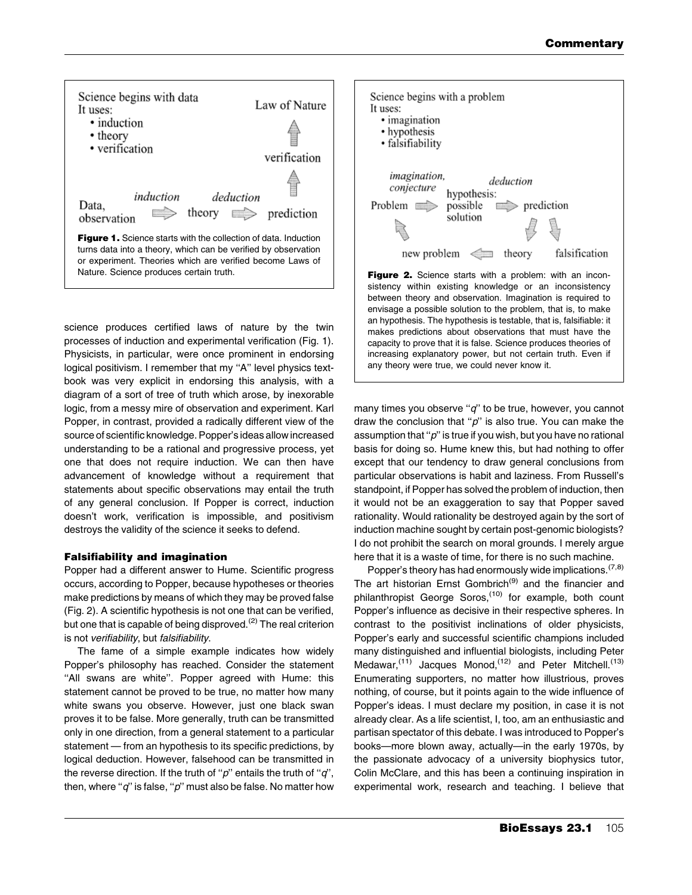

science produces certified laws of nature by the twin processes of induction and experimental verification (Fig. 1). Physicists, in particular, were once prominent in endorsing logical positivism. I remember that my "A" level physics textbook was very explicit in endorsing this analysis, with a diagram of a sort of tree of truth which arose, by inexorable logic, from a messy mire of observation and experiment. Karl Popper, in contrast, provided a radically different view of the source of scientific knowledge. Popper's ideas allow increased understanding to be a rational and progressive process, yet one that does not require induction. We can then have advancement of knowledge without a requirement that statements about specific observations may entail the truth of any general conclusion. If Popper is correct, induction doesn't work, verification is impossible, and positivism destroys the validity of the science it seeks to defend.

## Falsifiability and imagination

Popper had a different answer to Hume. Scientific progress occurs, according to Popper, because hypotheses or theories make predictions by means of which they may be proved false (Fig. 2). A scientific hypothesis is not one that can be verified, but one that is capable of being disproved.<sup>(2)</sup> The real criterion is not verifiability, but falsifiability.

The fame of a simple example indicates how widely Popper's philosophy has reached. Consider the statement "All swans are white". Popper agreed with Hume: this statement cannot be proved to be true, no matter how many white swans you observe. However, just one black swan proves it to be false. More generally, truth can be transmitted only in one direction, from a general statement to a particular statement – from an hypothesis to its specific predictions, by logical deduction. However, falsehood can be transmitted in the reverse direction. If the truth of " $p$ " entails the truth of " $q$ ", then, where " $q$ " is false, " $p$ " must also be false. No matter how



many times you observe " $q$ " to be true, however, you cannot draw the conclusion that " $p$ " is also true. You can make the assumption that " $p$ " is true if you wish, but you have no rational basis for doing so. Hume knew this, but had nothing to offer except that our tendency to draw general conclusions from particular observations is habit and laziness. From Russell's standpoint, if Popper has solved the problem of induction, then it would not be an exaggeration to say that Popper saved rationality. Would rationality be destroyed again by the sort of induction machine sought by certain post-genomic biologists? I do not prohibit the search on moral grounds. I merely argue here that it is a waste of time, for there is no such machine.

Popper's theory has had enormously wide implications.  $(7,8)$ The art historian Ernst Gombrich<sup>(9)</sup> and the financier and philanthropist George Soros,<sup>(10)</sup> for example, both count Popper's influence as decisive in their respective spheres. In contrast to the positivist inclinations of older physicists, Popper's early and successful scientific champions included many distinguished and influential biologists, including Peter Medawar,<sup>(11)</sup> Jacques Monod,<sup>(12)</sup> and Peter Mitchell.<sup>(13)</sup> Enumerating supporters, no matter how illustrious, proves nothing, of course, but it points again to the wide influence of Popper's ideas. I must declare my position, in case it is not already clear. As a life scientist, I, too, am an enthusiastic and partisan spectator of this debate. I was introduced to Popper's books—more blown away, actually—in the early 1970s, by the passionate advocacy of a university biophysics tutor, Colin McClare, and this has been a continuing inspiration in experimental work, research and teaching. I believe that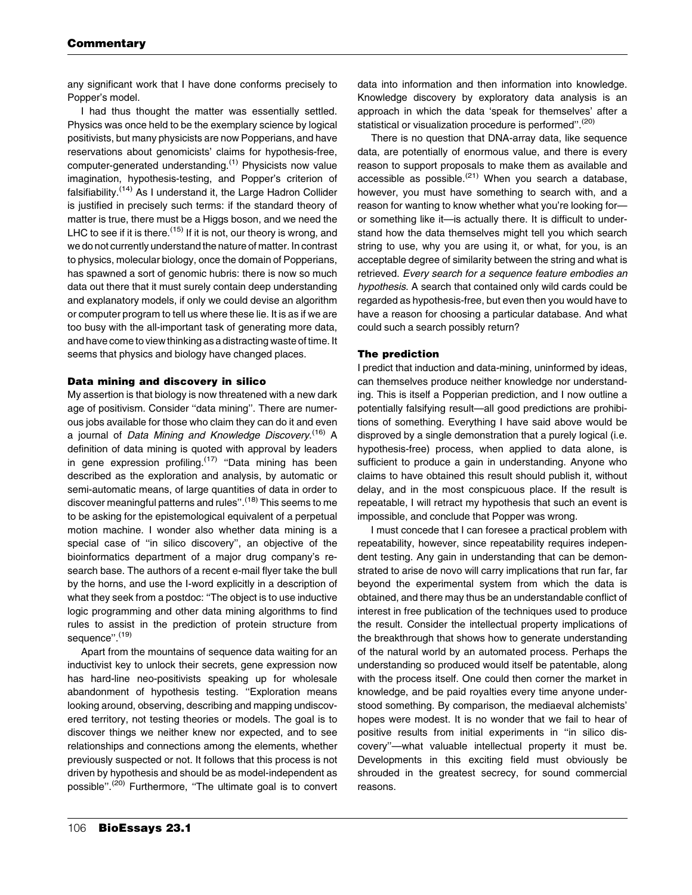any significant work that I have done conforms precisely to Popper's model.

I had thus thought the matter was essentially settled. Physics was once held to be the exemplary science by logical positivists, but many physicists are now Popperians, and have reservations about genomicists' claims for hypothesis-free, computer-generated understanding.<sup>(1)</sup> Physicists now value imagination, hypothesis-testing, and Popper's criterion of falsifiability.(14) As I understand it, the Large Hadron Collider is justified in precisely such terms: if the standard theory of matter is true, there must be a Higgs boson, and we need the LHC to see if it is there.<sup> $(15)$ </sup> If it is not, our theory is wrong, and we do not currently understand the nature of matter. In contrast to physics, molecular biology, once the domain of Popperians, has spawned a sort of genomic hubris: there is now so much data out there that it must surely contain deep understanding and explanatory models, if only we could devise an algorithm or computer program to tell us where these lie. It is as if we are too busy with the all-important task of generating more data, and have come to view thinking as a distracting waste of time. It seems that physics and biology have changed places.

## Data mining and discovery in silico

My assertion is that biology is now threatened with a new dark age of positivism. Consider "data mining". There are numerous jobs available for those who claim they can do it and even a journal of *Data Mining and Knowledge Discovery*.<sup>(16)</sup> A definition of data mining is quoted with approval by leaders in gene expression profiling.<sup>(17)</sup> "Data mining has been described as the exploration and analysis, by automatic or semi-automatic means, of large quantities of data in order to discover meaningful patterns and rules".<sup>(18)</sup> This seems to me to be asking for the epistemological equivalent of a perpetual motion machine. I wonder also whether data mining is a special case of "in silico discovery", an objective of the bioinformatics department of a major drug company's research base. The authors of a recent e-mail flyer take the bull by the horns, and use the I-word explicitly in a description of what they seek from a postdoc: "The object is to use inductive logic programming and other data mining algorithms to find rules to assist in the prediction of protein structure from sequence".<sup>(19)</sup>

Apart from the mountains of sequence data waiting for an inductivist key to unlock their secrets, gene expression now has hard-line neo-positivists speaking up for wholesale abandonment of hypothesis testing. "Exploration means looking around, observing, describing and mapping undiscovered territory, not testing theories or models. The goal is to discover things we neither knew nor expected, and to see relationships and connections among the elements, whether previously suspected or not. It follows that this process is not driven by hypothesis and should be as model-independent as possible".<sup>(20)</sup> Furthermore, "The ultimate goal is to convert data into information and then information into knowledge. Knowledge discovery by exploratory data analysis is an approach in which the data 'speak for themselves' after a statistical or visualization procedure is performed".<sup>(20)</sup>

There is no question that DNA-array data, like sequence data, are potentially of enormous value, and there is every reason to support proposals to make them as available and accessible as possible.<sup>(21)</sup> When you search a database, however, you must have something to search with, and a reason for wanting to know whether what you're looking foror something like it—is actually there. It is difficult to understand how the data themselves might tell you which search string to use, why you are using it, or what, for you, is an acceptable degree of similarity between the string and what is retrieved. Every search for a sequence feature embodies an hypothesis. A search that contained only wild cards could be regarded as hypothesis-free, but even then you would have to have a reason for choosing a particular database. And what could such a search possibly return?

## The prediction

I predict that induction and data-mining, uninformed by ideas, can themselves produce neither knowledge nor understanding. This is itself a Popperian prediction, and I now outline a potentially falsifying result—all good predictions are prohibitions of something. Everything I have said above would be disproved by a single demonstration that a purely logical (i.e. hypothesis-free) process, when applied to data alone, is sufficient to produce a gain in understanding. Anyone who claims to have obtained this result should publish it, without delay, and in the most conspicuous place. If the result is repeatable, I will retract my hypothesis that such an event is impossible, and conclude that Popper was wrong.

I must concede that I can foresee a practical problem with repeatability, however, since repeatability requires independent testing. Any gain in understanding that can be demonstrated to arise de novo will carry implications that run far, far beyond the experimental system from which the data is obtained, and there may thus be an understandable conflict of interest in free publication of the techniques used to produce the result. Consider the intellectual property implications of the breakthrough that shows how to generate understanding of the natural world by an automated process. Perhaps the understanding so produced would itself be patentable, along with the process itself. One could then corner the market in knowledge, and be paid royalties every time anyone understood something. By comparison, the mediaeval alchemists' hopes were modest. It is no wonder that we fail to hear of positive results from initial experiments in "in silico discovery"-what valuable intellectual property it must be. Developments in this exciting field must obviously be shrouded in the greatest secrecy, for sound commercial reasons.